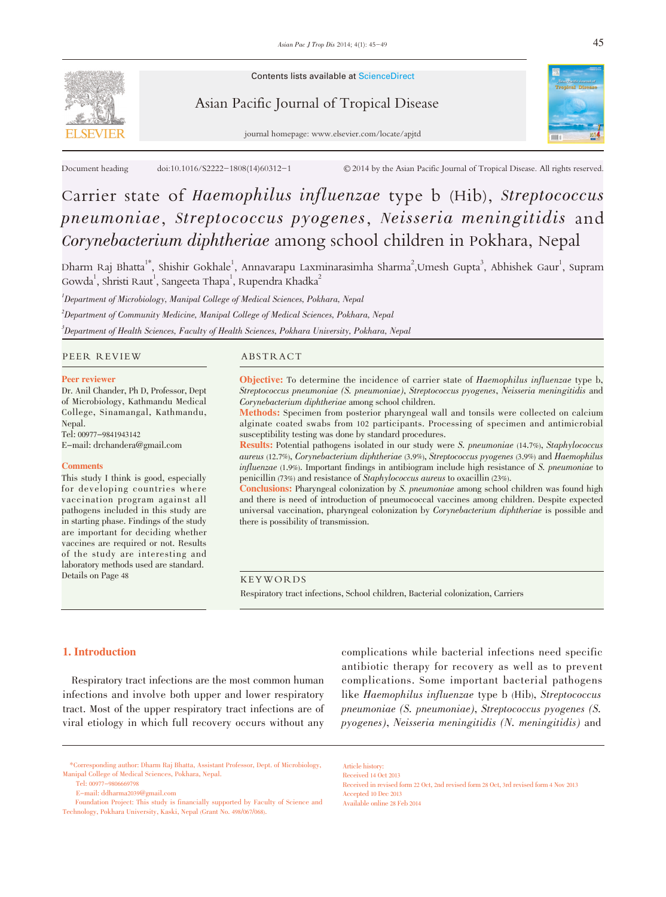

Contents lists available at ScienceDirect

# Asian Pacific Journal of Tropical Disease





# Carrier state of Haemophilus influenzae type b (Hib), Streptococcus pneumoniae, Streptococcus pyogenes, Neisseria meningitidis and Corynebacterium diphtheriae among school children in Pokhara, Nepal

Dharm Raj Bhatta $^{1*}$ , Shishir Gokhale $^{1}$ , Annavarapu Laxminarasimha Sharma $^{2}$ ,Umesh Gupta $^{3}$ , Abhishek Gaur $^{1}$ , Supram Gowda<sup>1</sup>, Shristi Raut<sup>1</sup>, Sangeeta Thapa<sup>1</sup>, Rupendra Khadka<sup>2</sup>

<sup>1</sup>Department of Microbiology, Manipal College of Medical Sciences, Pokhara, Nepal

 $^2$ Department of Community Medicine, Manipal College of Medical Sciences, Pokhara, Nepal

 $^3$ Department of Health Sciences, Faculty of Health Sciences, Pokhara University, Pokhara, Nepal

# PEER REVIEW ABSTRACT

#### Peer reviewer

Dr. Anil Chander, Ph D, Professor, Dept of Microbiology, Kathmandu Medical College, Sinamangal, Kathmandu, Nepal. Tel: 00977-9841943142

E-mail: drchandera@gmail.com

#### **Comments**

This study I think is good, especially for developing countries where vaccination program against all pathogens included in this study are in starting phase. Findings of the study are important for deciding whether vaccines are required or not. Results of the study are interesting and laboratory methods used are standard. Details on Page 48

Objective: To determine the incidence of carrier state of Haemophilus influenzae type b, Streptococcus pneumoniae (S. pneumoniae), Streptococcus pyogenes, Neisseria meningitidis and Corynebacterium diphtheriae among school children.

Methods: Specimen from posterior pharyngeal wall and tonsils were collected on calcium alginate coated swabs from 102 participants. Processing of specimen and antimicrobial susceptibility testing was done by standard procedures.

Results: Potential pathogens isolated in our study were S. pneumoniae (14.7%), Staphylococcus aureus (12.7%), Corynebacterium diphtheriae (3.9%), Streptococcus pyogenes (3.9%) and Haemophilus influenzae (1.9%). Important findings in antibiogram include high resistance of S. pneumoniae to penicillin (73%) and resistance of Staphylococcus aureus to oxacillin (23%).

Conclusions: Pharyngeal colonization by S. pneumoniae among school children was found high and there is need of introduction of pneumococcal vaccines among children. Despite expected universal vaccination, pharyngeal colonization by Corynebacterium diphtheriae is possible and there is possibility of transmission.

KEYWORDS

Respiratory tract infections, School children, Bacterial colonization, Carriers

Article history:

# 1. Introduction

Respiratory tract infections are the most common human infections and involve both upper and lower respiratory tract. Most of the upper respiratory tract infections are of viral etiology in which full recovery occurs without any

complications while bacterial infections need specific antibiotic therapy for recovery as well as to prevent complications. Some important bacterial pathogens like Haemophilus influenzae type b (Hib), Streptococcus pneumoniae (S. pneumoniae), Streptococcus pyogenes (S. pyogenes), Neisseria meningitidis (N. meningitidis) and

Tel: 00977-9806669798

Received 14 Oct 2013 Received in revised form 22 Oct, 2nd revised form 28 Oct, 3rd revised form 4 Nov 2013 Accepted 10 Dec 2013 Available online 28 Feb 2014

<sup>\*</sup>Corresponding author: Dharm Raj Bhatta, Assistant Professor, Dept. of Microbiology, Manipal College of Medical Sciences, Pokhara, Nepal.

E-mail: ddharma2039@gmail.com

Foundation Project: This study is financially supported by Faculty of Science and Technology, Pokhara University, Kaski, Nepal (Grant No. 498/067/068).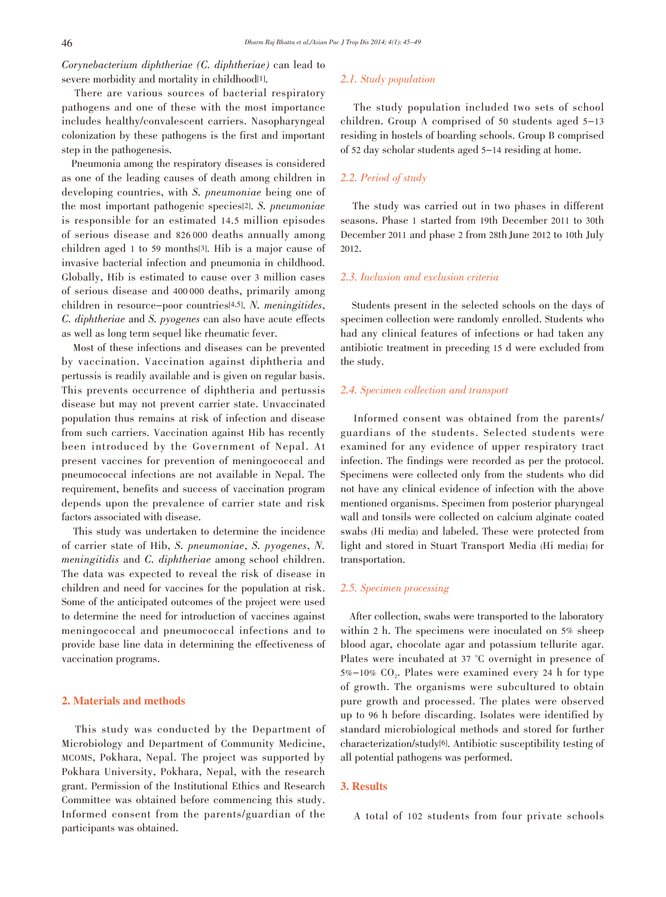Corynebacterium diphtheriae (C. diphtheriae) can lead to severe morbidity and mortality in childhood<sup>[1]</sup>.

There are various sources of bacterial respiratory pathogens and one of these with the most importance includes healthy/convalescent carriers. Nasopharyngeal colonization by these pathogens is the first and important step in the pathogenesis.

Pneumonia among the respiratory diseases is considered as one of the leading causes of death among children in developing countries, with S. pneumoniae being one of the most important pathogenic species[2]. S. pneumoniae is responsible for an estimated 14.5 million episodes of serious disease and 826 000 deaths annually among children aged 1 to 59 months[3]. Hib is a major cause of invasive bacterial infection and pneumonia in childhood. Globally, Hib is estimated to cause over 3 million cases of serious disease and 400 000 deaths, primarily among children in resource-poor countries[4,5]. N. meningitides, C. diphtheriae and S. pyogenes can also have acute effects as well as long term sequel like rheumatic fever.

Most of these infections and diseases can be prevented by vaccination. Vaccination against diphtheria and pertussis is readily available and is given on regular basis. This prevents occurrence of diphtheria and pertussis disease but may not prevent carrier state. Unvaccinated population thus remains at risk of infection and disease from such carriers. Vaccination against Hib has recently been introduced by the Government of Nepal. At present vaccines for prevention of meningococcal and pneumococcal infections are not available in Nepal. The requirement, benefits and success of vaccination program depends upon the prevalence of carrier state and risk factors associated with disease.

This study was undertaken to determine the incidence of carrier state of Hib, S. pneumoniae, S. pyogenes, N. meningitidis and C. diphtheriae among school children. The data was expected to reveal the risk of disease in children and need for vaccines for the population at risk. Some of the anticipated outcomes of the project were used to determine the need for introduction of vaccines against meningococcal and pneumococcal infections and to provide base line data in determining the effectiveness of vaccination programs.

# 2. Materials and methods

This study was conducted by the Department of Microbiology and Department of Community Medicine, MCOMS, Pokhara, Nepal. The project was supported by Pokhara University, Pokhara, Nepal, with the research grant. Permission of the Institutional Ethics and Research Committee was obtained before commencing this study. Informed consent from the parents/guardian of the participants was obtained.

# 2.1. Study population

The study population included two sets of school children. Group A comprised of 50 students aged 5-13 residing in hostels of boarding schools. Group B comprised of 52 day scholar students aged 5-14 residing at home.

# 2.2. Period of study

The study was carried out in two phases in different seasons. Phase 1 started from 19th December 2011 to 30th December 2011 and phase 2 from 28th June 2012 to 10th July 2012.

# 2.3. Inclusion and exclusion criteria

Students present in the selected schools on the days of specimen collection were randomly enrolled. Students who had any clinical features of infections or had taken any antibiotic treatment in preceding 15 d were excluded from the study.

# 2.4. Specimen collection and transport

Informed consent was obtained from the parents/ guardians of the students. Selected students were examined for any evidence of upper respiratory tract infection. The findings were recorded as per the protocol. Specimens were collected only from the students who did not have any clinical evidence of infection with the above mentioned organisms. Specimen from posterior pharyngeal wall and tonsils were collected on calcium alginate coated swabs (Hi media) and labeled. These were protected from light and stored in Stuart Transport Media (Hi media) for transportation.

# 2.5. Specimen processing

After collection, swabs were transported to the laboratory within 2 h. The specimens were inoculated on  $5\%$  sheep blood agar, chocolate agar and potassium tellurite agar. Plates were incubated at 37 °C overnight in presence of  $5\% - 10\%$  CO<sub>2</sub>. Plates were examined every 24 h for type of growth. The organisms were subcultured to obtain pure growth and processed. The plates were observed up to 96 h before discarding. Isolates were identified by standard microbiological methods and stored for further characterization/study[6]. Antibiotic susceptibility testing of all potential pathogens was performed.

# 3. Results

A total of 102 students from four private schools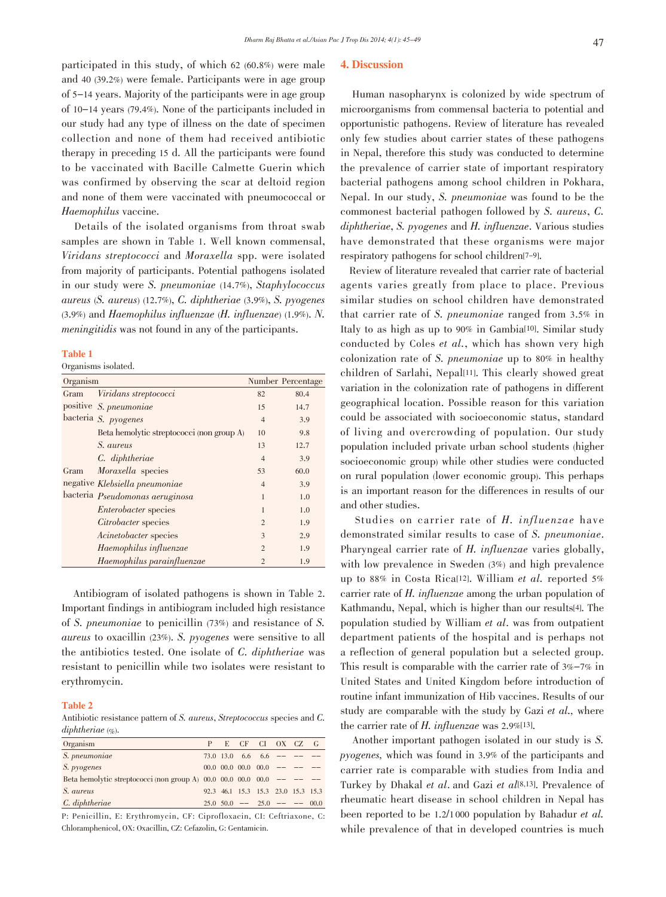participated in this study, of which 62 (60.8%) were male and 40 (39.2%) were female. Participants were in age group of 5-14 years. Majority of the participants were in age group of 10-14 years (79.4%). None of the participants included in our study had any type of illness on the date of specimen collection and none of them had received antibiotic therapy in preceding 15 d. All the participants were found to be vaccinated with Bacille Calmette Guerin which was confirmed by observing the scar at deltoid region and none of them were vaccinated with pneumococcal or Haemophilus vaccine.

Details of the isolated organisms from throat swab samples are shown in Table 1. Well known commensal, Viridans streptococci and Moraxella spp. were isolated from majority of participants. Potential pathogens isolated in our study were S. pneumoniae (14.7%), Staphylococcus aureus (S. aureus) (12.7%), C. diphtheriae (3.9%), S. pyogenes (3.9%) and Haemophilus influenzae (H. influenzae) (1.9%). N. meningitidis was not found in any of the participants.

#### Table 1

Organisms isolated.

| Organism |                                           |                | Number Percentage |
|----------|-------------------------------------------|----------------|-------------------|
| Gram     | Viridans streptococci                     | 82             | 80.4              |
|          | positive S. pneumoniae                    | 15             | 14.7              |
|          | bacteria S. pyogenes                      | $\overline{4}$ | 3.9               |
|          | Beta hemolytic streptococci (non group A) | 10             | 9.8               |
|          | <i>S. aureus</i>                          | 13             | 12.7              |
|          | C. diphtheriae                            | $\overline{4}$ | 3.9               |
| Gram     | Moraxella species                         | 53             | 60.0              |
|          | negative Klebsiella pneumoniae            | 4              | 3.9               |
|          | bacteria Pseudomonas aeruginosa           | 1              | 1.0               |
|          | <i>Enterobacter</i> species               |                | 1.0               |
|          | Citrobacter species                       | $\mathfrak{D}$ | 1.9               |
|          | <i>Acinetobacter</i> species              | 3              | 2.9               |
|          | Haemophilus influenzae                    | $\overline{c}$ | 1.9               |
|          | Haemophilus parainfluenzae                | $\overline{c}$ | 1.9               |

Antibiogram of isolated pathogens is shown in Table 2. Important findings in antibiogram included high resistance of S. pneumoniae to penicillin (73%) and resistance of S. aureus to oxacillin (23%). S. pyogenes were sensitive to all the antibiotics tested. One isolate of C. diphtheriae was resistant to penicillin while two isolates were resistant to erythromycin.

# Table 2

Antibiotic resistance pattern of S. aureus, Streptococcus species and C. diphtheriae  $(\varphi_0)$ .

| Organism                                                                                        |  |  | E CF CI OX CZ G                      |  |  |
|-------------------------------------------------------------------------------------------------|--|--|--------------------------------------|--|--|
| S. pneumoniae                                                                                   |  |  | $73.0$ 13.0 6.6 6.6 -- --            |  |  |
| <i>S. pyogenes</i>                                                                              |  |  | $00.0$ $00.0$ $00.0$ $00.0$ $-- ---$ |  |  |
| Beta hemolytic streptococci (non group A) $00.0$ $00.0$ $00.0$ $00.0$ $\leftarrow$ $\leftarrow$ |  |  |                                      |  |  |
| <i>S. aureus</i>                                                                                |  |  | 92.3 46.1 15.3 15.3 23.0 15.3 15.3   |  |  |
| $C.$ diphtheriae                                                                                |  |  | $25.0$ $50.0$ -- $25.0$ -- -- 00.0   |  |  |

P: Penicillin, E: Erythromycin, CF: Ciprofloxacin, CI: Ceftriaxone, C: Chloramphenicol, OX: Oxacillin, CZ: Cefazolin, G: Gentamicin.

### 4. Discussion

Human nasopharynx is colonized by wide spectrum of microorganisms from commensal bacteria to potential and opportunistic pathogens. Review of literature has revealed only few studies about carrier states of these pathogens in Nepal, therefore this study was conducted to determine the prevalence of carrier state of important respiratory bacterial pathogens among school children in Pokhara, Nepal. In our study, S. pneumoniae was found to be the commonest bacterial pathogen followed by S. aureus, C. diphtheriae, S. pyogenes and H. influenzae. Various studies have demonstrated that these organisms were major respiratory pathogens for school children[7-9].

Review of literature revealed that carrier rate of bacterial agents varies greatly from place to place. Previous similar studies on school children have demonstrated that carrier rate of S. pneumoniae ranged from 3.5% in Italy to as high as up to 90% in Gambia[10]. Similar study conducted by Coles et al., which has shown very high colonization rate of S. pneumoniae up to 80% in healthy children of Sarlahi, Nepal[11]. This clearly showed great variation in the colonization rate of pathogens in different geographical location. Possible reason for this variation could be associated with socioeconomic status, standard of living and overcrowding of population. Our study population included private urban school students (higher socioeconomic group) while other studies were conducted on rural population (lower economic group). This perhaps is an important reason for the differences in results of our and other studies.

Studies on carrier rate of H. influenzae have demonstrated similar results to case of S. pneumoniae. Pharyngeal carrier rate of H. influenzae varies globally, with low prevalence in Sweden (3%) and high prevalence up to 88% in Costa Rica[12]. William et al. reported 5% carrier rate of H. influenzae among the urban population of Kathmandu, Nepal, which is higher than our results[4]. The population studied by William et al. was from outpatient department patients of the hospital and is perhaps not a reflection of general population but a selected group. This result is comparable with the carrier rate of 3%-7% in United States and United Kingdom before introduction of routine infant immunization of Hib vaccines. Results of our study are comparable with the study by Gazi et al., where the carrier rate of H. influenzae was 2.9%[13].

Another important pathogen isolated in our study is S. pyogenes, which was found in 3.9% of the participants and carrier rate is comparable with studies from India and Turkey by Dhakal et al. and Gazi et al[8,13]. Prevalence of rheumatic heart disease in school children in Nepal has been reported to be 1.2/1 <sup>000</sup> population by Bahadur et al. while prevalence of that in developed countries is much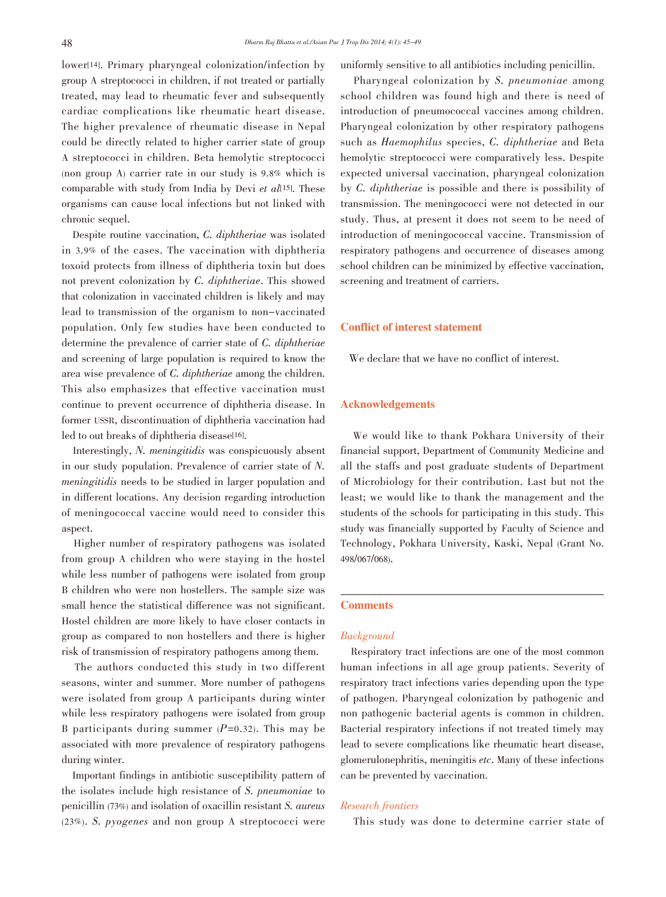lower<sup>[14]</sup>. Primary pharyngeal colonization/infection by group A streptococci in children, if not treated or partially treated, may lead to rheumatic fever and subsequently cardiac complications like rheumatic heart disease. The higher prevalence of rheumatic disease in Nepal could be directly related to higher carrier state of group A streptococci in children. Beta hemolytic streptococci (non group A) carrier rate in our study is 9.8% which is comparable with study from India by Devi et  $all^{[15]}$ . These organisms can cause local infections but not linked with chronic sequel.

Despite routine vaccination, C. diphtheriae was isolated in 3.9% of the cases. The vaccination with diphtheria toxoid protects from illness of diphtheria toxin but does not prevent colonization by C. diphtheriae. This showed that colonization in vaccinated children is likely and may lead to transmission of the organism to non-vaccinated population. Only few studies have been conducted to determine the prevalence of carrier state of C. diphtheriae and screening of large population is required to know the area wise prevalence of C. diphtheriae among the children. This also emphasizes that effective vaccination must continue to prevent occurrence of diphtheria disease. In former USSR, discontinuation of diphtheria vaccination had led to out breaks of diphtheria disease[16].

Interestingly, N. meningitidis was conspicuously absent in our study population. Prevalence of carrier state of N. meningitidis needs to be studied in larger population and in different locations. Any decision regarding introduction of meningococcal vaccine would need to consider this aspect.

Higher number of respiratory pathogens was isolated from group A children who were staying in the hostel while less number of pathogens were isolated from group B children who were non hostellers. The sample size was small hence the statistical difference was not significant. Hostel children are more likely to have closer contacts in group as compared to non hostellers and there is higher risk of transmission of respiratory pathogens among them.

The authors conducted this study in two different seasons, winter and summer. More number of pathogens were isolated from group A participants during winter while less respiratory pathogens were isolated from group B participants during summer  $(P=0.32)$ . This may be associated with more prevalence of respiratory pathogens during winter.

Important findings in antibiotic susceptibility pattern of the isolates include high resistance of S. pneumoniae to penicillin (73%) and isolation of oxacillin resistant S. aureus (23%). S. pyogenes and non group A streptococci were uniformly sensitive to all antibiotics including penicillin.

Pharyngeal colonization by S. pneumoniae among school children was found high and there is need of introduction of pneumococcal vaccines among children. Pharyngeal colonization by other respiratory pathogens such as Haemophilus species, C. diphtheriae and Beta hemolytic streptococci were comparatively less. Despite expected universal vaccination, pharyngeal colonization by C. diphtheriae is possible and there is possibility of transmission. The meningococci were not detected in our study. Thus, at present it does not seem to be need of introduction of meningococcal vaccine. Transmission of respiratory pathogens and occurrence of diseases among school children can be minimized by effective vaccination, screening and treatment of carriers.

# Conflict of interest statement

We declare that we have no conflict of interest.

# Acknowledgements

We would like to thank Pokhara University of their financial support, Department of Community Medicine and all the staffs and post graduate students of Department of Microbiology for their contribution. Last but not the least; we would like to thank the management and the students of the schools for participating in this study. This study was financially supported by Faculty of Science and Technology, Pokhara University, Kaski, Nepal (Grant No. 498/067/068).

# **Comments**

# **Background**

Respiratory tract infections are one of the most common human infections in all age group patients. Severity of respiratory tract infections varies depending upon the type of pathogen. Pharyngeal colonization by pathogenic and non pathogenic bacterial agents is common in children. Bacterial respiratory infections if not treated timely may lead to severe complications like rheumatic heart disease, glomerulonephritis, meningitis etc. Many of these infections can be prevented by vaccination.

# Research frontiers

This study was done to determine carrier state of